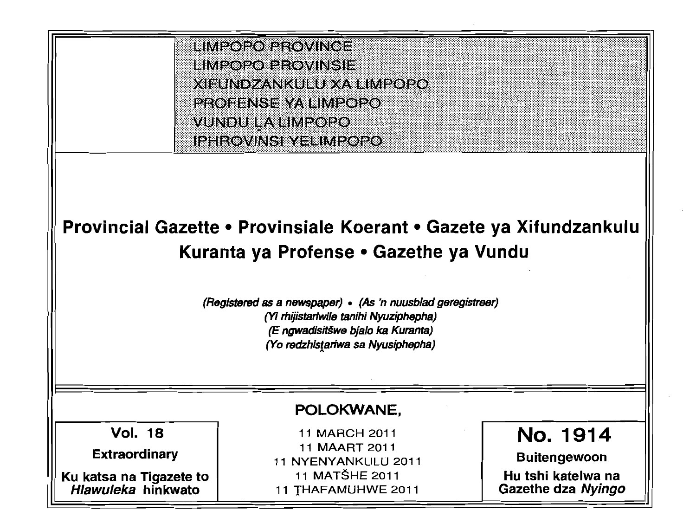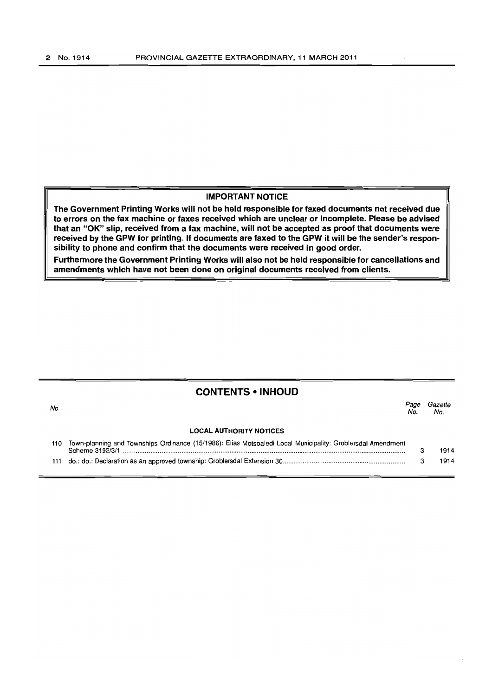### **IMPORTANT NOTICE**

**The Government Printing Works will not be held responsible for faxed documents not received due to errors on the fax machine or faxes received which are unclear or incomplete. Please be advised that an "OK" slip, received from a fax machine, will not be accepted as proof that documents were received by the GPW for printing. If documents are faxed to the GPW it will be the sender's responsibility to phone and confirm that the documents were received in good order.** 

**Furthermore the Government Printing Works will also not be held responsible for cancellations and amendments which have not been done on original documents received from clients.** 

## **CONTENTS • INHOUD**

| No. |                                                                                                                                | <sup>o</sup> age<br>No. | Gazette<br>No. |
|-----|--------------------------------------------------------------------------------------------------------------------------------|-------------------------|----------------|
|     | <b>LOCAL AUTHORITY NOTICES</b>                                                                                                 |                         |                |
| 110 | Town-planning and Townships Ordinance (15/1986): Elias Motsoaledi Local Municipality: Groblersdal Amendment<br>Scheme 3192/3/1 |                         | 1914           |
| 111 |                                                                                                                                |                         | 1914           |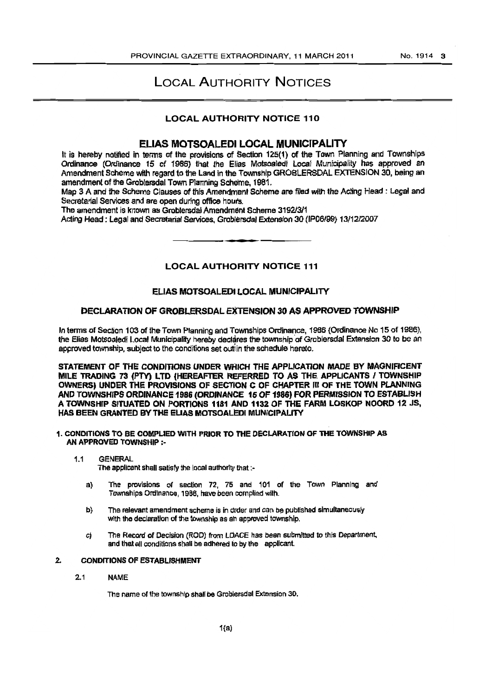# **LOCAL AUTHORITY NOTICES**

### **LOCAL AUTHORITY NOTICE 110**

## ELIAS MOTSOALEDI LOCAL MUNICIPALITY

It is hereby notified in terms of the provisions of Section 125(1) of the Town Planning and Townships<br>Ordinance (Ordinance 15 of 1986) that the Elias Motsoaledi Local Municipality has approved an Amendment Scheme with regard to the Land in the Township GROBLERSDAL EXTENSION 30, being an amendment of the Groblersdal Town Planning Scheme, 1981.

Map 3 A and the Scheme Clauses of this Amendment Scheme are filed with the Acting Head : Legal and Secretarial Services and are open during office hours.

The amendment is known as Groblersdal Amendment Scherne 3192/3/1

Acting Head: Legal and Secretarial Services. Groblersdal Extension 30 (IP06/99) 13/12/2007

**LOCAL AUTHORITY NOTICE 111** 

#### ELIAS MOTSOALEDI LOCAL MUNICIPALITY

### DECLARATION OF GROBLERSDAL EXTENSION 30 AS APPROVED TOWNSHIP

In terms of Section 103 of the Town Planning and Townships Ordinance, 1986 (Ordinance No 15 of 1986). the Elias Motsoaledi Local Municipality hereby declares the township of Groblersdal Extension 30 to be an approved township, subject to the conditions set out in the schedule hereto.

STATEMENT OF THE CONDITIONS UNDER WHICH THE APPLICATION MADE BY MAGNIFICENT MILE TRADING 73 (PTY) LTD (HEREAFTER REFERRED TO AS THE APPLICANTS / TOWNSHIP OWNERSI UNDER THE PROVISIONS OF SECTION C OF CHAPTER III OF THE TOWN PLANNING AND TOWNSHIPS ORDINANCE 1986 (ORDINANCE 15 OF 1986) FOR PERMISSION TO ESTABLISH A TOWNSHIP SITUATED ON PORTIONS 1181 AND 1132 OF THE FARM LOSKOP NOORD 12 JS. HAS BEEN GRANTED BY THE ELIAS MOTSOALEDI MUNICIPALITY

- 1. CONDITIONS TO BE COMPLIED WITH PRIOR TO THE DECLARATION OF THE TOWNSHIP AS AN APPROVED TOWNSHIP :-
	- $1.1$ **GENERAL**

The applicant shall satisfy the local authority that :-

- The provisions of section 72, 75 and 101 of the Town Planning and  $a)$ Townships Ordinance, 1986, have been complied with.
- The relevant amendment scheme is in order and can be published simultaneously b) with the declaration of the township as an approved township.
- The Record of Decision (ROD) from LDACE has been submitted to this Department. C) and that all conditions shall be adhered to by the applicant.

#### $\mathbf{2}$ **CONDITIONS OF ESTABLISHMENT**

 $2.1$ **NAME** 

The name of the township shall be Groblersdal Extension 30.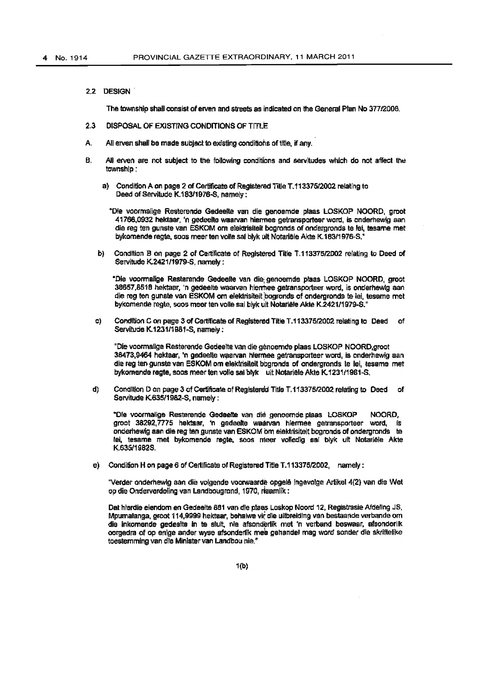2.2 DESIGN'

The township shall consist of erven and streets as indicated on the General Plan No 377/2008.

- 2.3 DISPOSAL OF EXISTING CONDITIONS OF TrfLE
- A. All erven shall be made subject to existing conditions of title, if any.
- B. All erven are not subject to the following conditions and servitudes which do not affect the township:
	- a) Condition A on page 2 of Certificate of Registered Title T.113375/2002 relating to Deed of Servitude K.183/1976-S, namely:

"Ole vaormalige Resterencie Gedeelte van die genoemde plaas LOSKO? NOORD, groot 41766,0932 hektaar, 'n gadeelte waarvan hiermee getransporteerword, is onderhewig aan die reg ten gunste van ESKOM om elektrisiteit bogronds of ondergronds te lei, tesame met bykomende regte, soos meer ten volle sal blyk uit Notariële Akte K. 183/1976-S."

b) Condition B on page 2 of Certificate of Registered Title T.113375/2002 relating to Deed of Servitude K.2421/1979-S, namely :

~Oje voorma/ige Resterende Gedeelte van die; genoemde plass lOSKOP NOORO, groet 38657,8518 hektaar, 'n gedeelte waarvan hierrhee getransporteer word, is onderhewig aan die reg ten gunste van ESKOM om elektrisiteit bogronds of ondergronds te lei, tesame met bykomende regte, soos meer ten volle sal blyk uit Notarläle Akte K.2421/1979-S."

c) Condition C on page 3 of Certificate of Registered Title T.113375/2002 relating to Deed of Servitude K.1231/1981-S. namely:

"Die voormallge Resterende Gedeelte van die genoemde plaas LOSKOP NOORO,groot 38473,9464 hektaar, 'n gedeelte waarvan hiermee getransporteer word, is onderhewig aan die reg ten gunste van ESKOM om elektrisiteit bbgronds of ondergronds te lei, tesame met bykomende regte, soos meer ten volle sal blyk uit Notariële Akte K 1231/1981-S.

d) Condition D on page 3 of Certificate of Registered Title T.113375/2002 relating to Deed of Servitude K.635/1982-S, namely:

"Die voormalige Resterende Gedeelte van die genoemde plaas LOSKOP NOORD, groot 38292,7775 hektaar, 'n gedeelte waarvan hiermee getransporteer word, is onderhewig aan die reg ten gunste van ESKOM om elektrisiteit bogronds of ondergronds te lei, tesame met bykomende ragte, soos meer volledig sal blyk uit Notarlele Akte K.63511982S.

e) Condition H on page 6 of Certificate of Registered Title T.113375/2002, namely :

"Verder onderhewlg aan die volgende voorwaarde opgele ingevolge Artikel 4(2) van die Wet op die Onderverdeling van Landbougrond, 1970, riaamlik:

Dat hierdie eiendom en Gedeelte 881 van die plaas Loskop Noord 12, Registrasie Afdeling JS, Mpumalanga, groot 114,9999 hektaar, behalwe vir die uilbreiding van bestaande verbande om die inkomende gedeelte in te sluit, nie afsonderlik met 'n verband beswaar, afsonderlik oorgedra of op enige ander wyse afsonderfik mee gehandel mag word sonder die skriftelike toestemming van die Minister van Landbou nie.<sup>"</sup>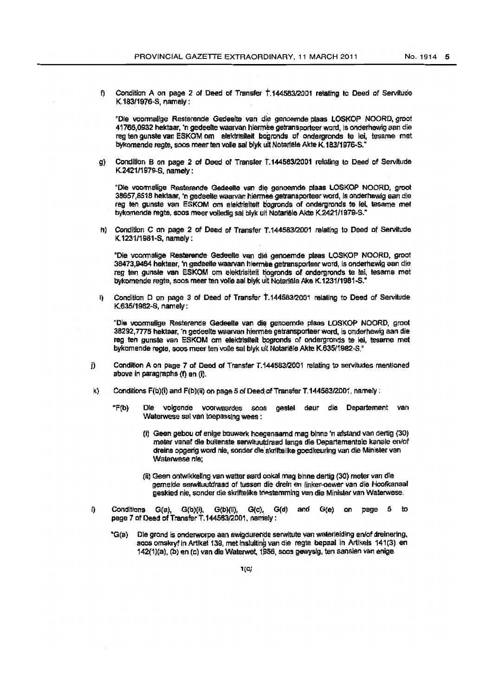f) Condition A on page 2 of Deed of Transfer  $\uparrow$  144583/2001 relating to Deed of Servitude K.183f1976-S, namely:

"Die voormalige Resterende Gedeelte van die genoemde plaas LOSKOP NOORD, groot 41766,0932 hektaar. 'n gedeelte waarvan hiermee getransporteer word, is onderhewig aan die reg ten gunste van ESKOM om elektrisiteit bogronds of ondergronds te lei, tesame met bykomende regte, soos meer ten volle sal blyk uit Notarlele Akte K.183/1976-S.

g) Condition B on page 2 of Deed of Transfer T.144583/2001 relating to Deed of Servitude K,242111979-S, namefy:

"Die voormalige Resterende Gedeelte van die genoemde plaas LOSKOP NOORD, groot 38657,8518 hektaar, 'n gedeelte waarvan hiermee getransporteer word. Is onderhewig aan die reg ten gunste van ESKOM om elektrisiteit bogronds of ondergronds te lei, tesame met bykomende regte, soos meer volledig sal blyk uit Notariële Akte K.2421/1979-S."

h) Condition C on page 2 of Deed of Transfer T.144583/2001 relating to Deed of Servitude K 123111981-S. namely:

"Die voormalige Resterende Gedeelte van die genoemde plaas LOSKOP NOORD, groot 38473,9464 hektaar, 'n gedeelte waarvan hiermee getransporteer word, is onderhewig aan die reg ten gunste van ESKOM om elektrisiteit tiogronds of ondergronds te lei, tesame met bykomende regte, soos meer ten volle sal blyk uit Notariële Ake K 1231/1981-S."

I) Condition D on page 3 of Deed of Transfer T.144583/2001 relating to Deed of Servitude K.53511982-8, namely:

"Die voormalige Resterende Gedeelte van die genoemde plaas LOSKOP NOORD, groot 38292,7775 hektaar, 'n gedeerte waervan hiermlae gelransporteerword. is onderhawig aan die reg ten gunste van ESKOM om elektrisiteit bogronds of ondergronds te lei, tesame met bykomende regta, soos meer ten volle sal blyk uit Notariële Akte K.635/1982-S."

- j) Condition A on page 7 of Deed of Transfer T.144583/2001 relating to servitudes mentioned above in paragraphs  $(f)$  en  $(f)$ .
- k) Conditions F(b)(i) and F(b)(ii) on page 5 of Deed; of Transfer T.144583/2001, namely :
	- "F(b) DIe volgende voorwaardes \$OO.S gestal deur die Departement van Waterwese sal van toepassing wees :
		- (i) Geen gebou of enige bouwerk hoegenaamd mag binne 'n afstand van dertig (30) meter vanaf die buitenste serwituutdraad langs die Departementele kanale en/of dreins opgerig word nie, sonder die skriftellke goedkeuring van die Minister van Waterwese nie:
		- (ii) Geen ontwikkeling van watter aard ookal mag binne dertig (30) meter van die gemelde serwituutdraad of tussen die drein en linker-oewer van die Hoofkanaal geskied nie, sonder die skriftelike triestemming van die Minister van Waterwese.
- $I$ ) Conditions G(a), G(b)(i), G(b)(ii), G(c), G(d) and G(e) on page 6 to page 7 of Deed of Transfer T. 144583/2001, namely:
	- "G(a) Die grand is onderworpe aan ewigdurende serwitute van waterleiding en/of dreinering, soos omskryf in Artikel 139, met insluiting van die regte bepaal in Artikels 141(3) en 142(1)(a), (b) en (c) van die Waterwet, 1956, soos gewysig, ten aanslen van enige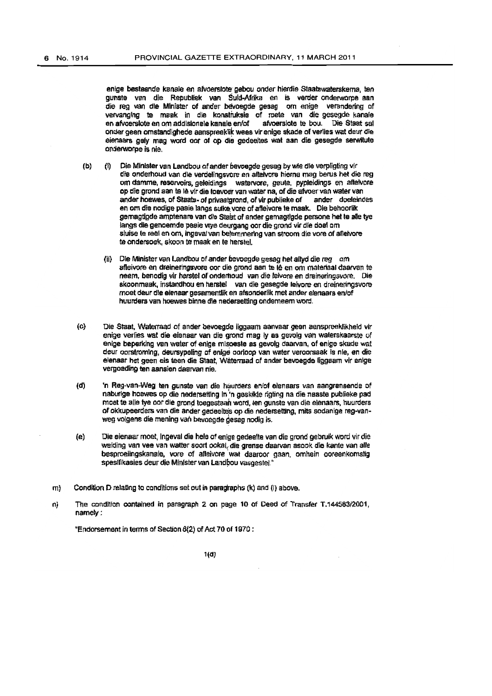enige bestaande kenale en afvaerslole' gebou onder hierdie Staatswaterskema, ten gunste van die Republiek van Suid-Afrika en is verder onderworpe aan die reg van die Minister of ander bevoegde gesag om enige verandering of vervanging te maak in die konstruksie of roete van die gesegde kanale en afvoerslote en om addisionele kanale en/of afvoerslote te bou. Die Staat sal en afvoerslote en om addisionele kanale en/of onder geen omstandighede aanspreeklik wees vir enige skade of verlies wat deur die eienaars gely mag word oor of op die gedeeltes wat aan die gesegde serwitute onderworpe is nie.

- (b) (i) Die Minister van Landbou of ander bevoegde gesag by wie die verpligting vir die onderhoud van die verdelingsvore en aflelvore hierna mag berus het die reg om damme, reservoirs, geleidings watervore, geute, pypleidings en aftelvore op die grond aan te 1è vir die toevoer van water na, of die afvoer van water van ander hoewes, of Staats- of privaatgrond, of vir publieke of ander doeleindes en om die nodige paaie langs sulke vore of afleivore te maak. Die behoorlik gemagtiode amptenare van die Staat of ander gemagtigde persone het te alle tye langs die genoemde pasie vrye deurgang oor die grond vir die doel om sluise te real en om, ingeval van belemmering van stroom die vore of afleivore te ondersoek, skoon te maak en te herstel.
	- (il) Ole Minister van landbou of ander bevoegde gassy het aftyd die reg *am*  afleivore en dreineringsvore oor die grond aan te Iê en om materiaal daarvan te neem, benodig vir herstel of ondertioud van die feivore en dreineringsvore. Die skoonmaak, instandhou en herstel van die gesegde leivore en dreineringsvore moet deur die eienaar gesamentlik en afsonderlik met ander elenaars en/of huurders van hoewes binne die nederaetting onderneem word.
- (c) Die Staat, Waterraad of ander bevoegde liggaam aanvaar geen aanspreeklikheld vir enige verlies wat die elenaar van die grond mag Iy as gevolg van waterskaarste of enige beperking van water of enige misoeste as gevolg daarvan, of enige skade wat deur oorstroming, deursypeling of enige oorloop van water veroorsaak is nie, en die elenaar het geen eis teen die Staat, Waterraad of ander bevoegde liggaam vir enige vergoeding ten aansien daarvan nie.
- (d) 'n Reg-van-Weg ten gunste van die huurders en/of eienaars van aangrensende of naburlge hoewes op die nedersettlng In 'n geskikte rigting na die naaste publieke pad moet te alle tye oor die grond toegestaan word, ten gunste van die elenaars, huurders of okkupeerders van die ander gedeeltes op die nedersetting, mits sodanige reg-vanweg volgens die mening van bevoegde gesag nodig is.
- (e) Die eienaarmoet,lngeval die heleofenlge gecleelte van die Qrond gebruik word virdie weiding van vee van watter soort ookal, die grense daarvan asook die kante van alle besproeiingskanale, vore of afteivore wat daaroor gaan, omhein ooreenkomstig spesifikasies deur die Minister van Landbou vasgestel."
- m) Condition D relating to conditions set out in paragraphs (k) and (i) above.
- n) The condition contained in paragraph 2 on page 10 of Deed of Transfer T.144583/2001, namely:

"Endorsement in terms of Section 6(2) of Act 70 of 1970 :

 $1(d)$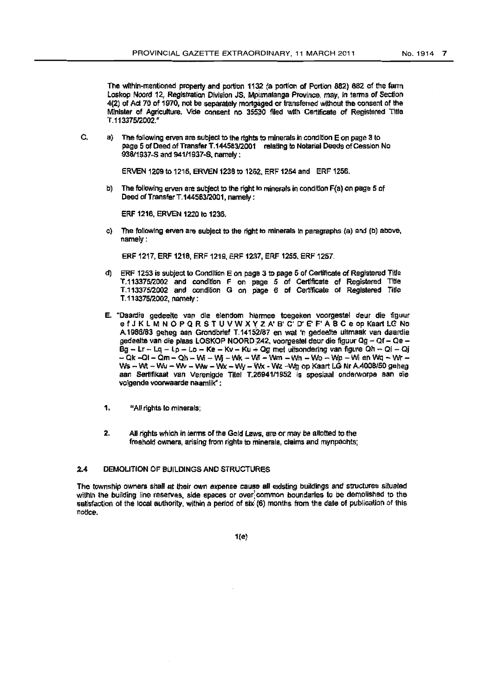The within-mentioned property and portion 1132 (a portion of Portion 882) 882 of the farm Loskop Noord 12, Registration Division JS, Mpumalanga Province, may, in terms of Section 4(2) of Act 70 of 1970, not be separately mortgaged or transferred without the consent of the Minister of Agriculture. Vide consent no 35530 filed with Certificate of Registered Title T.113375/2002."

Ċ. a) The following erven are subject to the rights to minerals in condition E on page 3 to page 5 of Deed of Transfer T.144583/2001 relating to Notarial Deeds of Cession No 938/1937-S and 941/1937-S, namely:

ERVEN 1209 to 1215, ERVEN 1238 to 1252, ERF 1254 and ERF 1256.

b) The following erven are subject to the right to minerals in condition F(a) on page 5 of Deed of Transfer T.144583/2001. namely:

ERF 1216, ERVEN 1220 to 1236.

c) The following erven are subject to the right to minerals in paragraphs (a) and (b) above, namely :

ERF 1217, ERF 1218, ERF 1219, ERF 1237, ERF 1255, ERF 1257.

- d) ERF 1253 is subject to Condition E on page 3 to page 5 of Certificate of Registered Title T.113375/2002 and condition F on page 5 of Certificate of Registered Title T.113375/2002 and condition G on page 6 of Certificate of Registered Title T.113375/2002, namely:
- E. "Daardie gedeelte van die elendom hiermee toegeken voorgestel deur die figuur efJKLMNOPQRSTUVWXYZA'B'C D'EF'ABCe op Kaart LC No A.1986/83 geneg aan Grondbrief T.14152/87 en wat 'n gedeelte uitmaak van daardie gedeelte van die plaas LOSKOP NOORD 242, voorgestel deur die figuur Qg - Qf - Qe - $\bar{B}g - Lr - Lq - Lp - Lq - Ke - Kv - Ku + Og$  met uitsondering van figure Qh - Qi - Qj  $-$  Qk -Ql - Qm - Qh - Wi - Wj - Wk - Wi - Wm - Wn - Wc - Wp - Wi en Wq - Wr -Ws - Wt - Wu - Wv - Ww - Wx - Wy - Wx - Wz - Wg op Kaart LG Nr A.4008/50 geheg aan Sertifikaat van Verenigde Titel T.26941/1952 is spesiaal onderworpe aan die volgende voorwaarde naamlik":
- 1. "All rights to minerals:
- All rights which in terms of the Gold Laws, are or may be allotted to the  $2<sup>1</sup>$ freehold owners, arising from rights to minerals, claims and mynpachts;

#### $2.4$ **DEMOLITION OF BUILDINGS AND STRUCTURES**

The township owners shall at their own expense cause all existing buildings and structures situated within the building line reserves, side spaces or over common boundaries to be demolished to the satisfaction of the local authority, within a period of six (6) months from the date of publication of this notice

 $1(e)$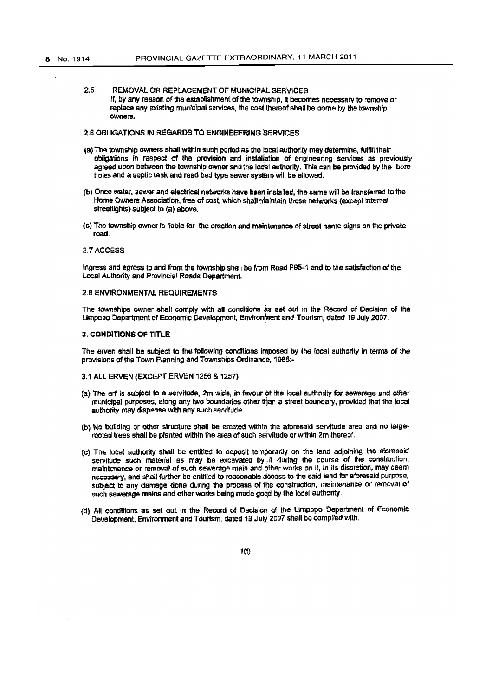2.5 REMOVAL OR REPLACEMENT OF MUNICIPAL SERVICES If, by any reason of the establishment of the township, it becomes necessary to remove or replace any existing municipal services, the cost thereof shall be borne by the township owners.

### 2.6 OBLIGATIONS IN REGARDS TO ENGlNEEERING SERVICES

- (a) The township owners shall within such period as the local authority may determine, fulfill their obligations in respect of the provision and installation of engineering services as previously agreed upon between the township owner and the lodal authority. This can be provided by the bore holes and a septic tank and reed bed type sewer system will be allowed.
- {b) Once water. sewer and electrical networks have been installed, the same win be transferred to the Home Owners Association, free of cost, which shall maintain these networks (except internal streetlights) subject to (a) above.
- (c) The township owner is liable for the erection and maintenance of street name signs on the private road.

#### 2.7 ACCESS

Ingress and egress to and from the township shall be from Road P95-1 and to the satisfaction of the Local Authority and Provfncial Roads Department.

#### 2.B eNVIRONMENTAL REQUIREMENTS

The townships owner shall comply with all conditions as set out in the Record of Decision of the Limpopo Department of Economic Development, Environment and Tourism, dated 19 July 2007.

#### 3. CONDITIONS OF TITLE

The erven shall be subject to the following conditions imposed by the local authority in terms of the provisions of the Town Planning and Townships Ordinance, 1986:-

- 3,1 ALI. ERVEN (EXCEPT ERVEN 1256 & 1257)
- (a) The erf is subject to a servitude, 2m wide, in favour of the local authority for sewerage and other municipal purposes, along any two boundaries other than a street boundary, provided that the local authority may dispense with any such servitude.
- (b) No building or other structure shall be erected within the aforesaid servitude area and no largerooted trees shall be planted within the area of such servitude or within 2m thereof.
- (c) The local authority shall be entitled to deposit temporarily on the land adjoining the aforesaid servitude such material as may be excavated by it during the course of the construction, maintenance or removal of such sewerage main and other works on it, in its discretion, may deem necessary, and shall further be entitled to reasonable access to the said land for aforesaid purpose. subject to any damage done during the process of the construction, maintenance or removal of such sewerage mains and other works being made good by the local authority.
- {d) AU conditions as set out in the Reoord of Decision of the Umpopo Department of Economic Development, Environment and Tourism, dated 19 July 2007 shall be complied with.

1(1)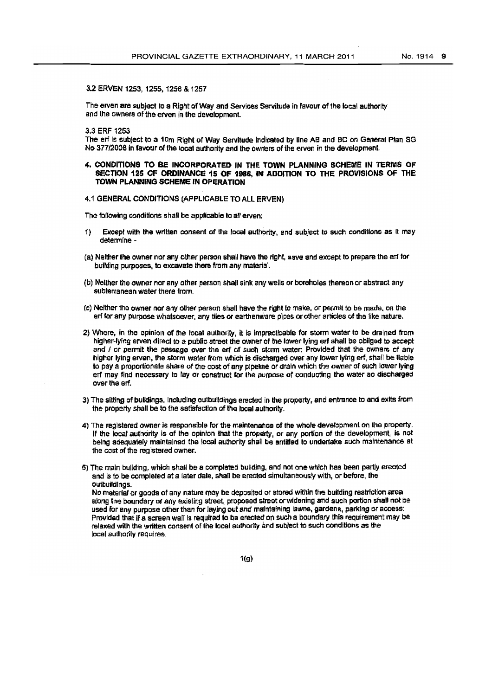### 3.2 ERVEN 1253, 1255, 1256 & 1257

The erven are subject to a Right of Way and Services Servitude in favour of the local authority and the owners of the erven in the development

3.3 ERF 1253

The erf is subject to a 10m Right of Way Servitude indicated by line AB and BC on General Plan SG No 377/2008 in favour of the local authority and the owners of the erven in the development.

#### 4. CONDITIONS TO BE INCORPORATED IN THE TOWN PLANNING SCHEME IN TERMS OF SECTION 125 OF ORDINANCE 15 OF 1986, IN ADDITION TO THE PROVISIONS OF THE TOWN PLANNING SCHEME IN OPERATION

### 4.1 GENERAL CONDJTIONS (APPLICABLE TO All ERVEN)

The following conditions shall be applicable to all erven:

- 1) Except with the written consent of the local authority, and subject to such conditions as It may determine -
- (a) Neither the owner nor any other person shall have the right, save and except to prepare the erf for building purposes, to excavate there from any material.
- (b) Neither the owner nor any other person shall sink any wells or boreholes thereon or abstract any subterranean water there from.
- (c) Neither the owner nor any other person shall have the right to make, or permit to be made, on the erf for any purpose whatsoever, any tiles or earthenware pipes or other articles of the like nature.
- 2) Where, in the opinion of the local authority, it is impracticable for storm water to be drained from higher-lying erven direct to a public street the owner of the lower lying erf shall be obliged to accept and I or permit the passage over the erf of such storm water: Provided that the owners of any higher lying erven, the storm water from which is discharged over any lower lying erf, shall be liable to pay a. proportionate share of the cost of any pipeline or drain whiCh the owner of such lower lying erf may find necessary to lay or construct for the purpose of conducting the water so discharged over the erf.
- 3) The sitting of buildings, including outbuildings erected in the property, and entrance to and exits from the property shall be to the satisfaction of the local authority.
- 4) The registered owner is responsible for the maintenance of the whole development on the property. If the local authority is of the opinion that the property, or any portion of the development, is not being adequately maintained the local authority shall be entitled to undertake such maintenance at the cost of the registered owner.

5) The main building, which shall be a completed building, and not one which has been partly erected and is to be completed at a later date, shall be erected simultaneously with, or before. the outbuildings.

No material or goods of any nature may be deposited or stored within the building restriction area along the boundary or any existing street, proposed street or widening and such portion shall not be used for any purpose other than for laying out and maintaining lawns, gardens, parking or access: Provided that if a screen wall is required to be erected on such a boundary this requirement may be relaxed with the written consent of the local authority and subject to such conditions as the local authority requires.

1(g)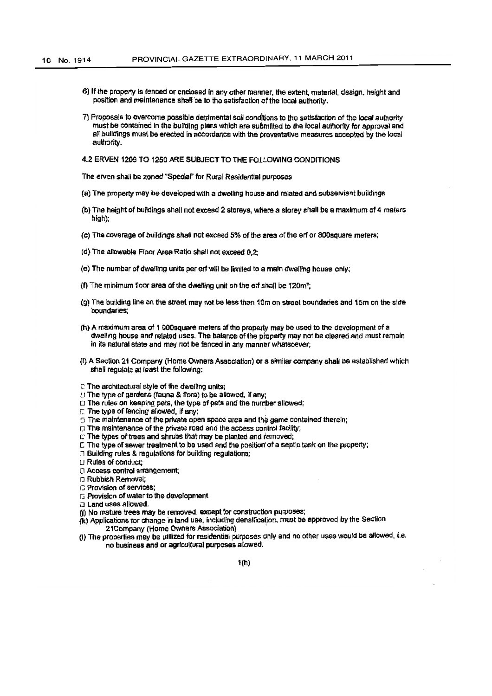- 6) If the property is fenced or enclosed in any other manner, the extent, material, design, height and position and maintenance shall be to the satisfaction of the local authority.
- 7) Proposals to overcome possible detrimental soil conditions to the satisfaction of the local authority must be contained in the building plans which are submitted to the local authority for approval and all buildings must be erected in accordance with the preventative measures accepted by the local authority.

4.2 ERVEN 1209 TO 1250 ARE SUBJECT TO THE FOLLOWING CONDITIONS

The erven shall be zoned "Special" for Rural Residential purposes

- (a) The property may be developed with a dwelling house and related and subservient buildings
- (b) The height of buildings shall not exceed 2 storeys, where a storey shall be a maximum of 4 meters high);
- (c) The coverage of buildings shall not exceed 5% of the area of the erf or 800 square meters;
- (d) The allowable Floor Area Ratio shall not exceed 0,2;
- (e) The number of dwelling units per erf will be limited to a main dwelling house only;
- (f) The minimum floor area of the dwelling unit on the erf shall be 120m<sup>2</sup>.
- (g) The building line on the street may not be less than 10m on street boundaries and 15m on the side boundaries;
- (h) A maximum area of 1 000 square meters of the property may be used to the development of a dwelling house and related uses. The balance of the property may not be cleared and must remain in its natural state and may not be fanced in any manner whatsoever;
- (i) A Section 21 Company (Home Owners Association) or a similar company shall be established which shall regulate at least the following:
- m The architectural style of the dwelling units;
- ! The type of gardens (fauna & flora) to be allowed, if any:
- □ The rules on keeping pets, the type of pets and the number allowed;
- F. The type of fencing allowed, if any:
- 5 The maintenance of the private open space area and the game contained therein;
- The maintenance of the private road and the access control facility;
- m The types of trees and shrubs that may be planted and removed;
- E The type of sewer treatment to be used and the position of a septic tank on the property;
- a Building rules & regulations for building regulations;
- LI Rules of conduct:
- D Access control arrangement;
- **n** Rubbish Removal:
- C Provision of services:
- E Provision of water to the development
- a Land uses allowed.
- (j) No mature trees may be removed, except for construction purposes;
- (k) Applications for change in land use, including densification, must be approved by the Section 21Company (Home Owners Association)
- (I) The properties may be utilized for residential purposes only and no other uses would be allowed, i.e. no business and or agricultural purposes allowed.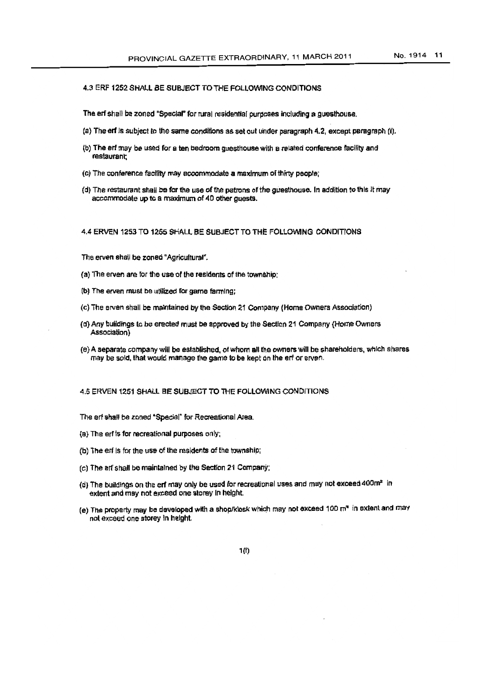### 4.3 ERF 1252 SHALL BE SUBJECT TO THE FOLLOWING CONDITIONS

The erf shall be zoned "Special" for rural residential purposes including a questhouse.

- (a) The erf is subject to the same conditions as set out under paragraph 4.2, except paragraph (i).
- (b) The erf may be used for a ten bedroom guesthouse with a related conference facility and restaurant:
- (c) The conference facility may accommodate a maximum of thirty people;
- (d) The restaurant shall be for the use of the patrons of the guesthouse. In addition to this it may accommodate up to a maximum of 40 other quests.

#### 4.4 ERVEN 1253 TO 1255 SHALL BE SUBJECT TO THE FOLLOWING CONDITIONS

The erven shall be zoned "Agricultural".

- (a) The erven are for the use of the residents of the township;
- (b) The erven must be utilized for game farming:
- (c) The erven shall be maintained by the Section 21 Company (Home Owners Association)
- (d) Any buildings to be erected must be approved by the Section 21 Company (Home Owners Association<sup>1</sup>
- (e) A separate company will be established, of whom all the owners will be shareholders, which shares may be sold, that would manage the game to be kept on the erf or erven.

### 4.5 ERVEN 1251 SHALL BE SUBJECT TO THE FOLLOWING CONDITIONS

The erf shall be zoned "Special" for Recreational Area.

- (a) The erf is for recreational purposes only;
- (b) The erf is for the use of the residents of the township;
- (c) The erf shall be maintained by the Section 21 Company;
- (d) The buildings on the erf may only be used for recreational uses and may not exceed 400m<sup>2</sup> in extent and may not exceed one storey in height.
- (e) The property may be developed with a shop/klosk which may not exceed 100 m<sup>2</sup> in extent and may not exceed one storey in height.

 $1(f)$